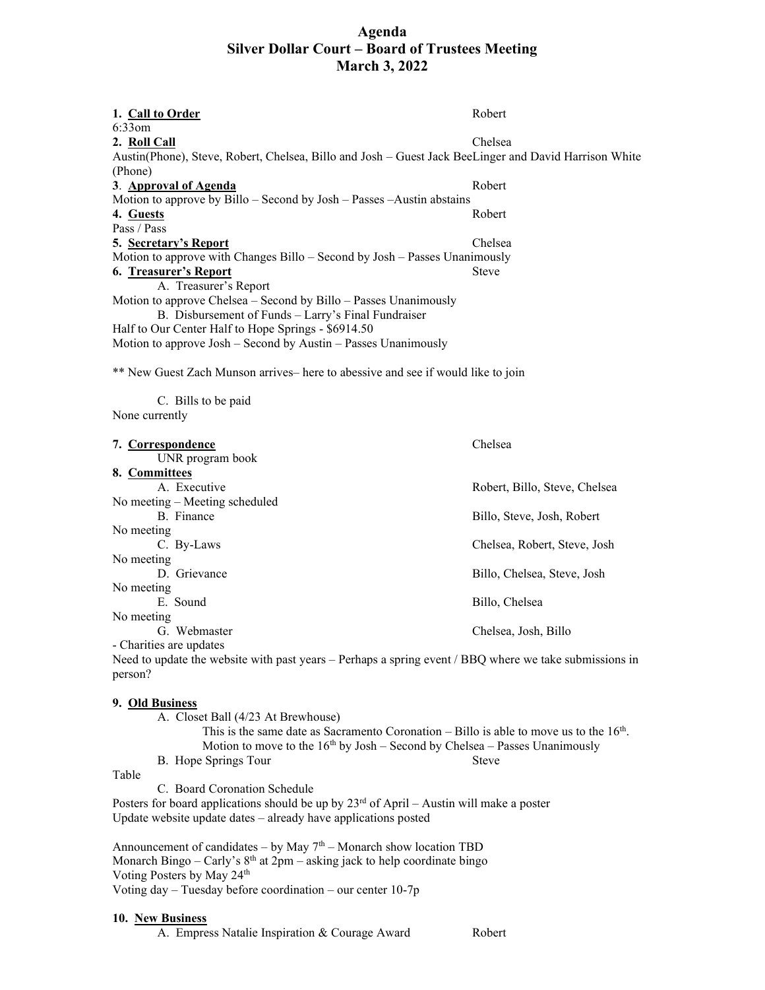# **Agenda Silver Dollar Court – Board of Trustees Meeting March 3, 2022**

| 1. Call to Order                                                                                      | Robert       |
|-------------------------------------------------------------------------------------------------------|--------------|
| $6:33$ om                                                                                             |              |
| 2. Roll Call                                                                                          | Chelsea      |
| Austin(Phone), Steve, Robert, Chelsea, Billo and Josh - Guest Jack BeeLinger and David Harrison White |              |
| (Phone)                                                                                               |              |
| 3. Approval of Agenda                                                                                 | Robert       |
| Motion to approve by Billo – Second by Josh – Passes – Austin abstains                                |              |
| 4. Guests                                                                                             | Robert       |
| Pass / Pass                                                                                           |              |
| 5. Secretary's Report                                                                                 | Chelsea      |
| Motion to approve with Changes Billo - Second by Josh - Passes Unanimously                            |              |
| 6. Treasurer's Report                                                                                 | <b>Steve</b> |
| A. Treasurer's Report                                                                                 |              |
| Motion to approve Chelsea $-$ Second by Billo $-$ Passes Unanimously                                  |              |
| B. Disbursement of Funds – Larry's Final Fundraiser                                                   |              |
| Half to Our Center Half to Hope Springs - \$6914.50                                                   |              |
| Motion to approve Josh – Second by Austin – Passes Unanimously                                        |              |
| ** New Guest Zach Munson arrives- here to abessive and see if would like to join                      |              |
| C. Bills to be paid                                                                                   |              |

None currently

| 7. Correspondence                | Chelsea                       |  |
|----------------------------------|-------------------------------|--|
| UNR program book                 |                               |  |
| 8. Committees                    |                               |  |
| A. Executive                     | Robert, Billo, Steve, Chelsea |  |
| No meeting $-$ Meeting scheduled |                               |  |
| B. Finance                       | Billo, Steve, Josh, Robert    |  |
| No meeting                       |                               |  |
| C. By-Laws                       | Chelsea, Robert, Steve, Josh  |  |
| No meeting                       |                               |  |
| D. Grievance                     | Billo, Chelsea, Steve, Josh   |  |
| No meeting                       |                               |  |
| E. Sound                         | Billo, Chelsea                |  |
| No meeting                       |                               |  |
| G. Webmaster                     | Chelsea, Josh, Billo          |  |
| - Charities are updates          |                               |  |

Need to update the website with past years – Perhaps a spring event / BBQ where we take submissions in person?

## **9. Old Business**

|  | A. Closet Ball (4/23 At Brewhouse) |  |
|--|------------------------------------|--|
|--|------------------------------------|--|

| This is the same date as Sacramento Coronation – Billo is able to move us to the $16th$ . |                      |                                                                               |
|-------------------------------------------------------------------------------------------|----------------------|-------------------------------------------------------------------------------|
|                                                                                           |                      | Motion to move to the $16th$ by Josh – Second by Chelsea – Passes Unanimously |
|                                                                                           | B. Hope Springs Tour | <b>Steve</b>                                                                  |

Table

C. Board Coronation Schedule

Posters for board applications should be up by  $23<sup>rd</sup>$  of April – Austin will make a poster Update website update dates – already have applications posted

Announcement of candidates – by May  $7<sup>th</sup>$  – Monarch show location TBD Monarch Bingo – Carly's  $8<sup>th</sup>$  at  $2<sub>pm</sub>$  – asking jack to help coordinate bingo Voting Posters by May 24<sup>th</sup> Voting day – Tuesday before coordination – our center 10-7p

#### **10. New Business**

A. Empress Natalie Inspiration & Courage Award Robert